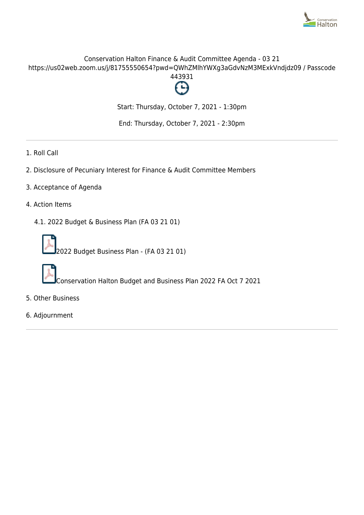

# Conservation Halton Finance & Audit Committee Agenda - 03 21 https://us02web.zoom.us/j/81755550654?pwd=QWhZMlhYWXg3aGdvNzM3MExkVndjdz09 / Passcode 443931



Start: Thursday, October 7, 2021 - 1:30pm

End: Thursday, October 7, 2021 - 2:30pm

- 1. Roll Call
- 2. Disclosure of Pecuniary Interest for Finance & Audit Committee Members
- 3. Acceptance of Agenda
- 4. Action Items
	- 4.1. 2022 Budget & Business Plan (FA 03 21 01)



2022 Budget Business Plan - (FA 03 21 01)



Conservation Halton Budget and Business Plan 2022 FA Oct 7 2021

- 5. Other Business
- 6. Adjournment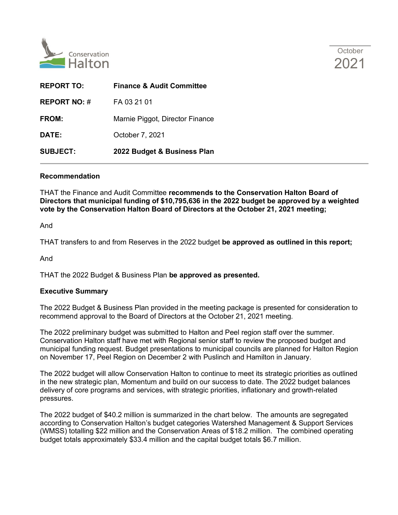



| <b>REPORT TO:</b>   | <b>Finance &amp; Audit Committee</b> |
|---------------------|--------------------------------------|
| <b>REPORT NO: #</b> | FA 03 21 01                          |
| FROM:               | Marnie Piggot, Director Finance      |
| <b>DATE:</b>        | October 7, 2021                      |
| <b>SUBJECT:</b>     | 2022 Budget & Business Plan          |

#### **Recommendation**

THAT the Finance and Audit Committee **recommends to the Conservation Halton Board of Directors that municipal funding of \$10,795,636 in the 2022 budget be approved by a weighted vote by the Conservation Halton Board of Directors at the October 21, 2021 meeting;**

And

THAT transfers to and from Reserves in the 2022 budget **be approved as outlined in this report;**

And

THAT the 2022 Budget & Business Plan **be approved as presented.**

### **Executive Summary**

The 2022 Budget & Business Plan provided in the meeting package is presented for consideration to recommend approval to the Board of Directors at the October 21, 2021 meeting.

The 2022 preliminary budget was submitted to Halton and Peel region staff over the summer. Conservation Halton staff have met with Regional senior staff to review the proposed budget and municipal funding request. Budget presentations to municipal councils are planned for Halton Region on November 17, Peel Region on December 2 with Puslinch and Hamilton in January.

The 2022 budget will allow Conservation Halton to continue to meet its strategic priorities as outlined in the new strategic plan, Momentum and build on our success to date. The 2022 budget balances delivery of core programs and services, with strategic priorities, inflationary and growth-related pressures.

The 2022 budget of \$40.2 million is summarized in the chart below. The amounts are segregated according to Conservation Halton's budget categories Watershed Management & Support Services (WMSS) totalling \$22 million and the Conservation Areas of \$18.2 million. The combined operating budget totals approximately \$33.4 million and the capital budget totals \$6.7 million.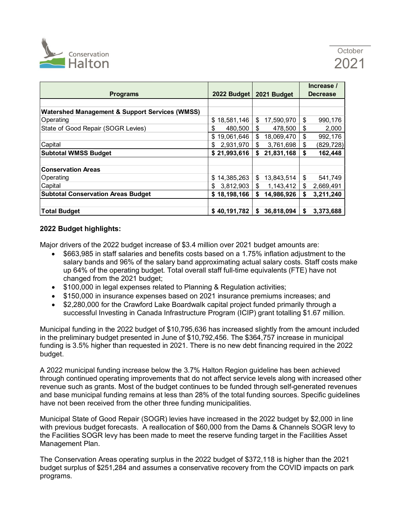

|                                                           |                  |                  | Increase /       |  |
|-----------------------------------------------------------|------------------|------------------|------------------|--|
| <b>Programs</b>                                           | 2022 Budget      | 2021 Budget      | <b>Decrease</b>  |  |
|                                                           |                  |                  |                  |  |
| <b>Watershed Management &amp; Support Services (WMSS)</b> |                  |                  |                  |  |
| Operating                                                 | 18,581,146<br>\$ | 17,590,970<br>\$ | \$<br>990,176    |  |
| State of Good Repair (SOGR Levies)                        | \$<br>480,500    | \$<br>478,500    | \$<br>2,000      |  |
|                                                           | \$<br>19,061,646 | \$<br>18,069,470 | \$<br>992,176    |  |
| Capital                                                   | 2,931,970<br>\$  | \$<br>3,761,698  | (829, 728)<br>\$ |  |
| <b>Subtotal WMSS Budget</b>                               | \$21,993,616     | 21,831,168<br>\$ | 162,448<br>\$    |  |
|                                                           |                  |                  |                  |  |
| <b>Conservation Areas</b>                                 |                  |                  |                  |  |
| Operating                                                 | 14,385,263<br>\$ | 13,843,514<br>\$ | \$<br>541,749    |  |
| Capital                                                   | \$<br>3,812,903  | \$<br>1,143,412  | \$<br>2,669,491  |  |
| <b>Subtotal Conservation Areas Budget</b>                 | \$18,198,166     | 14,986,926<br>\$ | 3,211,240<br>\$  |  |
|                                                           |                  |                  |                  |  |
| <b>Total Budget</b>                                       | \$40,191,782     | 36,818,094<br>\$ | 3,373,688<br>\$  |  |

### **2022 Budget highlights:**

Major drivers of the 2022 budget increase of \$3.4 million over 2021 budget amounts are:

- \$663,985 in staff salaries and benefits costs based on a 1.75% inflation adjustment to the salary bands and 96% of the salary band approximating actual salary costs. Staff costs make up 64% of the operating budget. Total overall staff full-time equivalents (FTE) have not changed from the 2021 budget;
- \$100,000 in legal expenses related to Planning & Regulation activities;
- \$150,000 in insurance expenses based on 2021 insurance premiums increases; and
- \$2,280,000 for the Crawford Lake Boardwalk capital project funded primarily through a successful Investing in Canada Infrastructure Program (ICIP) grant totalling \$1.67 million.

Municipal funding in the 2022 budget of \$10,795,636 has increased slightly from the amount included in the preliminary budget presented in June of \$10,792,456. The \$364,757 increase in municipal funding is 3.5% higher than requested in 2021. There is no new debt financing required in the 2022 budget.

A 2022 municipal funding increase below the 3.7% Halton Region guideline has been achieved through continued operating improvements that do not affect service levels along with increased other revenue such as grants. Most of the budget continues to be funded through self-generated revenues and base municipal funding remains at less than 28% of the total funding sources. Specific guidelines have not been received from the other three funding municipalities.

Municipal State of Good Repair (SOGR) levies have increased in the 2022 budget by \$2,000 in line with previous budget forecasts. A reallocation of \$60,000 from the Dams & Channels SOGR levy to the Facilities SOGR levy has been made to meet the reserve funding target in the Facilities Asset Management Plan.

The Conservation Areas operating surplus in the 2022 budget of \$372,118 is higher than the 2021 budget surplus of \$251,284 and assumes a conservative recovery from the COVID impacts on park programs.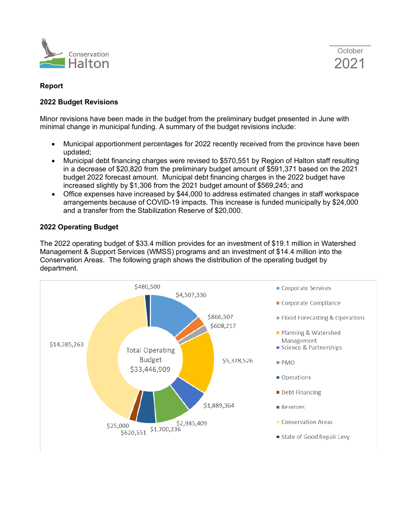



## **Report**

## **2022 Budget Revisions**

Minor revisions have been made in the budget from the preliminary budget presented in June with minimal change in municipal funding. A summary of the budget revisions include:

- Municipal apportionment percentages for 2022 recently received from the province have been updated;
- Municipal debt financing charges were revised to \$570,551 by Region of Halton staff resulting in a decrease of \$20,820 from the preliminary budget amount of \$591,371 based on the 2021 budget 2022 forecast amount. Municipal debt financing charges in the 2022 budget have increased slightly by \$1,306 from the 2021 budget amount of \$569,245; and
- Office expenses have increased by \$44,000 to address estimated changes in staff workspace arrangements because of COVID-19 impacts. This increase is funded municipally by \$24,000 and a transfer from the Stabilization Reserve of \$20,000.

## **2022 Operating Budget**

The 2022 operating budget of \$33.4 million provides for an investment of \$19.1 million in Watershed Management & Support Services (WMSS) programs and an investment of \$14.4 million into the Conservation Areas. The following graph shows the distribution of the operating budget by department.

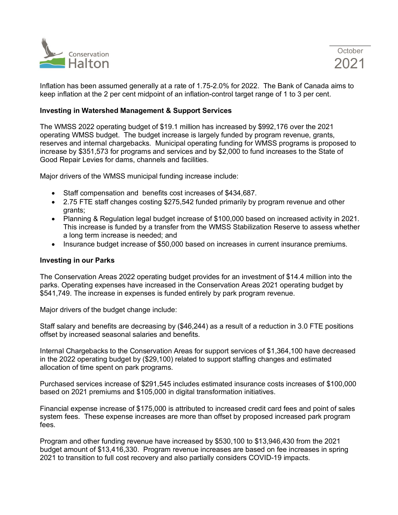

Inflation has been assumed generally at a rate of 1.75-2.0% for 2022. The Bank of Canada aims to keep inflation at the 2 per cent midpoint of an inflation-control target range of 1 to 3 per cent.

#### **Investing in Watershed Management & Support Services**

The WMSS 2022 operating budget of \$19.1 million has increased by \$992,176 over the 2021 operating WMSS budget. The budget increase is largely funded by program revenue, grants, reserves and internal chargebacks. Municipal operating funding for WMSS programs is proposed to increase by \$351,573 for programs and services and by \$2,000 to fund increases to the State of Good Repair Levies for dams, channels and facilities.

Major drivers of the WMSS municipal funding increase include:

- Staff compensation and benefits cost increases of \$434,687.
- 2.75 FTE staff changes costing \$275,542 funded primarily by program revenue and other grants;
- Planning & Regulation legal budget increase of \$100,000 based on increased activity in 2021. This increase is funded by a transfer from the WMSS Stabilization Reserve to assess whether a long term increase is needed; and
- Insurance budget increase of \$50,000 based on increases in current insurance premiums.

#### **Investing in our Parks**

The Conservation Areas 2022 operating budget provides for an investment of \$14.4 million into the parks. Operating expenses have increased in the Conservation Areas 2021 operating budget by \$541,749. The increase in expenses is funded entirely by park program revenue.

Major drivers of the budget change include:

Staff salary and benefits are decreasing by (\$46,244) as a result of a reduction in 3.0 FTE positions offset by increased seasonal salaries and benefits.

Internal Chargebacks to the Conservation Areas for support services of \$1,364,100 have decreased in the 2022 operating budget by (\$29,100) related to support staffing changes and estimated allocation of time spent on park programs.

Purchased services increase of \$291,545 includes estimated insurance costs increases of \$100,000 based on 2021 premiums and \$105,000 in digital transformation initiatives.

Financial expense increase of \$175,000 is attributed to increased credit card fees and point of sales system fees. These expense increases are more than offset by proposed increased park program fees.

Program and other funding revenue have increased by \$530,100 to \$13,946,430 from the 2021 budget amount of \$13,416,330. Program revenue increases are based on fee increases in spring 2021 to transition to full cost recovery and also partially considers COVID-19 impacts.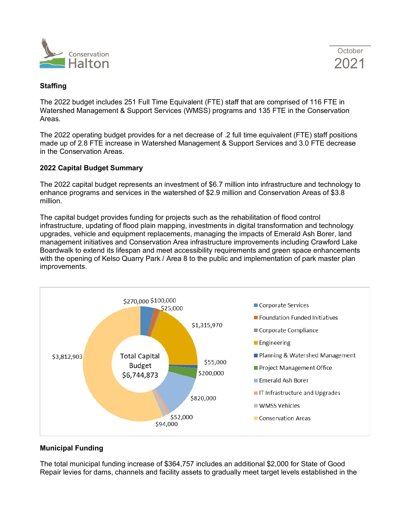



## **Staffing**

The 2022 budget includes 251 Full Time Equivalent (FTE) staff that are comprised of 116 FTE in Watershed Management & Support Services (WMSS) programs and 135 FTE in the Conservation Areas.

The 2022 operating budget provides for a net decrease of .2 full time equivalent (FTE) staff positions made up of 2.8 FTE increase in Watershed Management & Support Services and 3.0 FTE decrease in the Conservation Areas.

### **2022 Capital Budget Summary**

The 2022 capital budget represents an investment of \$6.7 million into infrastructure and technology to enhance programs and services in the watershed of \$2.9 million and Conservation Areas of \$3.8 million.

The capital budget provides funding for projects such as the rehabilitation of flood control infrastructure, updating of flood plain mapping, investments in digital transformation and technology upgrades, vehicle and equipment replacements, managing the impacts of Emerald Ash Borer, land management initiatives and Conservation Area infrastructure improvements including Crawford Lake Boardwalk to extend its lifespan and meet accessibility requirements and green space enhancements with the opening of Kelso Quarry Park / Area 8 to the public and implementation of park master plan improvements.



## **Municipal Funding**

The total municipal funding increase of \$364,757 includes an additional \$2,000 for State of Good Repair levies for dams, channels and facility assets to gradually meet target levels established in the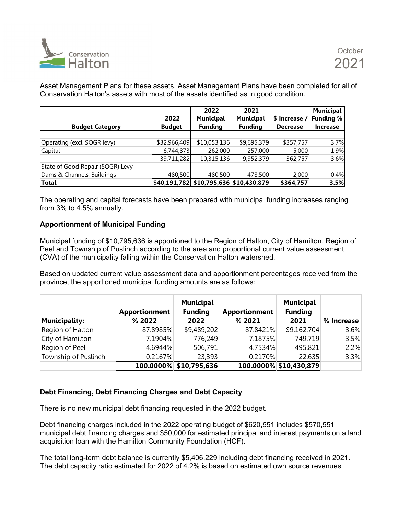

Asset Management Plans for these assets. Asset Management Plans have been completed for all of Conservation Halton's assets with most of the assets identified as in good condition.

| <b>Budget Category</b>             | 2022<br><b>Budget</b> | 2022<br><b>Municipal</b><br><b>Funding</b> | 2021<br><b>Municipal</b><br><b>Funding</b> | \$ Increase /<br><b>Decrease</b> | Municipal<br><b>Funding %</b><br><b>Increase</b> |
|------------------------------------|-----------------------|--------------------------------------------|--------------------------------------------|----------------------------------|--------------------------------------------------|
|                                    |                       |                                            |                                            |                                  |                                                  |
| Operating (excl. SOGR levy)        | \$32,966,409          | \$10,053,136                               | \$9,695,379                                | \$357,757                        | 3.7%                                             |
| Capital                            | 6,744,873             | 262,000                                    | 257,000                                    | 5,000                            | 1.9%                                             |
|                                    | 39,711,282            | 10,315,136                                 | 9,952,379                                  | 362,757                          | 3.6%                                             |
| State of Good Repair (SOGR) Levy - |                       |                                            |                                            |                                  |                                                  |
| Dams & Channels; Buildings         | 480,500               | 480,500                                    | 478,500                                    | 2,000                            | 0.4%                                             |
| <b>Total</b>                       |                       | \$40,191,782  \$10,795,636  \$10,430,879   |                                            | \$364,757                        | 3.5%                                             |

The operating and capital forecasts have been prepared with municipal funding increases ranging from 3% to 4.5% annually.

## **Apportionment of Municipal Funding**

Municipal funding of \$10,795,636 is apportioned to the Region of Halton, City of Hamilton, Region of Peel and Township of Puslinch according to the area and proportional current value assessment (CVA) of the municipality falling within the Conservation Halton watershed.

Based on updated current value assessment data and apportionment percentages received from the province, the apportioned municipal funding amounts are as follows:

| <b>Municipality:</b> | <b>Apportionment</b><br>% 2022 | Municipal<br><b>Funding</b><br>2022 | <b>Apportionment</b><br>% 2021 | <b>Municipal</b><br><b>Funding</b><br>2021 | % Increase |
|----------------------|--------------------------------|-------------------------------------|--------------------------------|--------------------------------------------|------------|
| Region of Halton     | 87.8985%                       | \$9,489,202                         | 87.8421%                       | \$9,162,704                                | 3.6%       |
| City of Hamilton     | 7.1904%                        | 776,249                             | 7.1875%                        | 749,719                                    | 3.5%       |
| Region of Peel       | 4.6944%                        | 506,791                             | 4.7534%                        | 495,821                                    | 2.2%       |
| Township of Puslinch | 0.2167%                        | 23,393                              | 0.2170%                        | 22,635                                     | 3.3%       |
|                      |                                | 100.0000% \$10,795,636              |                                | 100.0000% \$10,430,879                     |            |

## **Debt Financing, Debt Financing Charges and Debt Capacity**

There is no new municipal debt financing requested in the 2022 budget.

Debt financing charges included in the 2022 operating budget of \$620,551 includes \$570,551 municipal debt financing charges and \$50,000 for estimated principal and interest payments on a land acquisition loan with the Hamilton Community Foundation (HCF).

The total long-term debt balance is currently \$5,406,229 including debt financing received in 2021. The debt capacity ratio estimated for 2022 of 4.2% is based on estimated own source revenues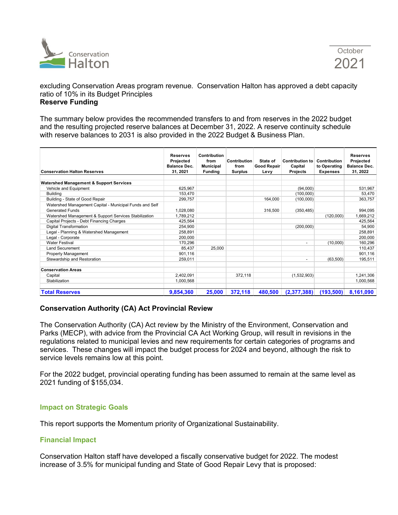

excluding Conservation Areas program revenue. Conservation Halton has approved a debt capacity ratio of 10% in its Budget Principles **Reserve Funding**

The summary below provides the recommended transfers to and from reserves in the 2022 budget and the resulting projected reserve balances at December 31, 2022. A reserve continuity schedule with reserve balances to 2031 is also provided in the 2022 Budget & Business Plan.

| <b>Conservation Halton Reserves</b>                     | <b>Reserves</b><br>Projected<br><b>Balance Dec.</b><br>31, 2021 | Contribution<br>from<br><b>Municipal</b><br><b>Funding</b> | Contribution<br>from<br><b>Surplus</b> | State of<br><b>Good Repair</b><br>Levy | <b>Contribution to</b><br>Capital<br><b>Projects</b> | Contribution<br>to Operating<br><b>Expenses</b> | <b>Reserves</b><br>Projected<br><b>Balance Dec.</b><br>31, 2022 |
|---------------------------------------------------------|-----------------------------------------------------------------|------------------------------------------------------------|----------------------------------------|----------------------------------------|------------------------------------------------------|-------------------------------------------------|-----------------------------------------------------------------|
|                                                         |                                                                 |                                                            |                                        |                                        |                                                      |                                                 |                                                                 |
| <b>Watershed Management &amp; Support Services</b>      |                                                                 |                                                            |                                        |                                        |                                                      |                                                 |                                                                 |
| Vehicle and Equipment                                   | 625,967                                                         |                                                            |                                        |                                        | (94,000)                                             |                                                 | 531,967                                                         |
| <b>Building</b>                                         | 153,470                                                         |                                                            |                                        |                                        | (100,000)                                            |                                                 | 53,470                                                          |
| Building - State of Good Repair                         | 299,757                                                         |                                                            |                                        | 164.000                                | (100,000)                                            |                                                 | 363,757                                                         |
| Watershed Management Capital - Municipal Funds and Self |                                                                 |                                                            |                                        |                                        |                                                      |                                                 |                                                                 |
| Generated Funds                                         | 1,028,080                                                       |                                                            |                                        | 316,500                                | (350, 485)                                           |                                                 | 994.095                                                         |
| Watershed Management & Support Services Stabilization   | 1.789.212                                                       |                                                            |                                        |                                        |                                                      | (120.000)                                       | 1,669,212                                                       |
| Capital Projects - Debt Financing Charges               | 425,564                                                         |                                                            |                                        |                                        |                                                      |                                                 | 425,564                                                         |
| <b>Digital Transformation</b>                           | 254.900                                                         |                                                            |                                        |                                        | (200,000)                                            |                                                 | 54.900                                                          |
| Legal - Planning & Watershed Management                 | 258,891                                                         |                                                            |                                        |                                        |                                                      |                                                 | 258,891                                                         |
| Legal - Corporate                                       | 200,000                                                         |                                                            |                                        |                                        |                                                      |                                                 | 200,000                                                         |
| <b>Water Festival</b>                                   | 170.296                                                         |                                                            |                                        |                                        | $\overline{\phantom{a}}$                             | (10,000)                                        | 160,296                                                         |
| <b>Land Securement</b>                                  | 85,437                                                          | 25,000                                                     |                                        |                                        |                                                      |                                                 | 110,437                                                         |
| <b>Property Management</b>                              | 901,116                                                         |                                                            |                                        |                                        |                                                      |                                                 | 901,116                                                         |
| Stewardship and Restoration                             | 259,011                                                         |                                                            |                                        |                                        | $\overline{\phantom{a}}$                             | (63,500)                                        | 195,511                                                         |
| <b>Conservation Areas</b>                               |                                                                 |                                                            |                                        |                                        |                                                      |                                                 |                                                                 |
| Capital                                                 | 2.402.091                                                       |                                                            | 372.118                                |                                        | (1,532,903)                                          |                                                 | 1,241,306                                                       |
| Stabilization                                           | 1,000,568                                                       |                                                            |                                        |                                        |                                                      |                                                 | 1,000,568                                                       |
| <b>Total Reserves</b>                                   | 9,854,360                                                       | 25,000                                                     | 372,118                                | 480.500                                | (2,377,388)                                          | (193, 500)                                      | 8,161,090                                                       |

#### **Conservation Authority (CA) Act Provincial Review**

The Conservation Authority (CA) Act review by the Ministry of the Environment, Conservation and Parks (MECP), with advice from the Provincial CA Act Working Group, will result in revisions in the regulations related to municipal levies and new requirements for certain categories of programs and services. These changes will impact the budget process for 2024 and beyond, although the risk to service levels remains low at this point.

For the 2022 budget, provincial operating funding has been assumed to remain at the same level as 2021 funding of \$155,034.

#### **Impact on Strategic Goals**

This report supports the Momentum priority of Organizational Sustainability.

#### **Financial Impact**

Conservation Halton staff have developed a fiscally conservative budget for 2022. The modest increase of 3.5% for municipal funding and State of Good Repair Levy that is proposed: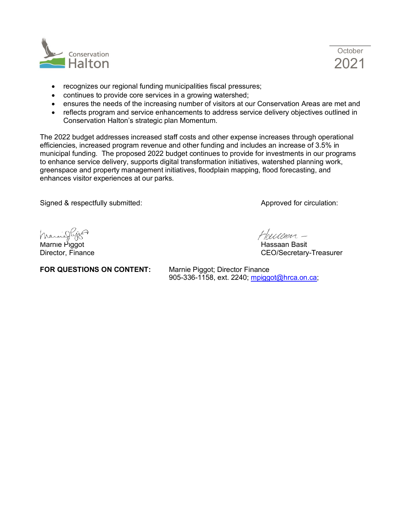



- recognizes our regional funding municipalities fiscal pressures;
- continues to provide core services in a growing watershed;
- ensures the needs of the increasing number of visitors at our Conservation Areas are met and
- reflects program and service enhancements to address service delivery objectives outlined in Conservation Halton's strategic plan Momentum.

The 2022 budget addresses increased staff costs and other expense increases through operational efficiencies, increased program revenue and other funding and includes an increase of 3.5% in municipal funding. The proposed 2022 budget continues to provide for investments in our programs to enhance service delivery, supports digital transformation initiatives, watershed planning work, greenspace and property management initiatives, floodplain mapping, flood forecasting, and enhances visitor experiences at our parks.

Signed & respectfully submitted: Approved for circulation:

Marnieg

Marnie Piggot **Hassaan Basit** 

Houseven-

Director, Finance **CEO/Secretary-Treasurer** 

**FOR QUESTIONS ON CONTENT:** Marnie Piggot; Director Finance

905-336-1158, ext. 2240; [mpiggot@hrca.on.ca;](mailto:mpiggot@hrca.on.ca)